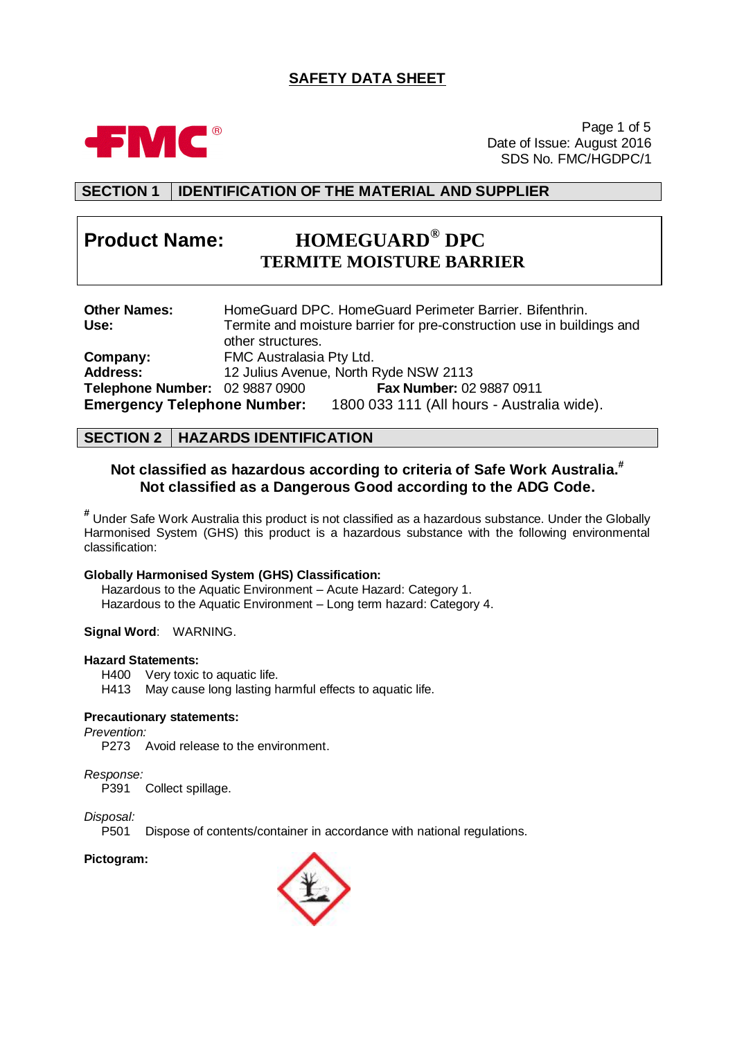# **SAFETY DATA SHEET**



Page 1 of 5 Date of Issue: August 2016 SDS No. FMC/HGDPC/1

# **SECTION 1 IDENTIFICATION OF THE MATERIAL AND SUPPLIER**

# **Product Name: HOMEGUARD® DPC TERMITE MOISTURE BARRIER**

| <b>Other Names:</b>                | HomeGuard DPC. HomeGuard Perimeter Barrier. Bifenthrin.                |
|------------------------------------|------------------------------------------------------------------------|
| Use:                               | Termite and moisture barrier for pre-construction use in buildings and |
|                                    | other structures.                                                      |
| Company:                           | FMC Australasia Pty Ltd.                                               |
| <b>Address:</b>                    | 12 Julius Avenue, North Ryde NSW 2113                                  |
| Telephone Number: 02 9887 0900     | Fax Number: 02 9887 0911                                               |
| <b>Emergency Telephone Number:</b> | 1800 033 111 (All hours - Australia wide).                             |

### **SECTION 2 HAZARDS IDENTIFICATION**

# **Not classified as hazardous according to criteria of Safe Work Australia. # Not classified as a Dangerous Good according to the ADG Code.**

**#** Under Safe Work Australia this product is not classified as a hazardous substance. Under the Globally Harmonised System (GHS) this product is a hazardous substance with the following environmental classification:

### **Globally Harmonised System (GHS) Classification:**

Hazardous to the Aquatic Environment – Acute Hazard: Category 1. Hazardous to the Aquatic Environment – Long term hazard: Category 4.

**Signal Word**: WARNING.

### **Hazard Statements:**

H400 Very toxic to aquatic life.

H413 May cause long lasting harmful effects to aquatic life.

### **Precautionary statements:**

*Prevention:*

P273 Avoid release to the environment.

### *Response:*

P391 Collect spillage.

### *Disposal:*

P501 Dispose of contents/container in accordance with national regulations.

### **Pictogram:**

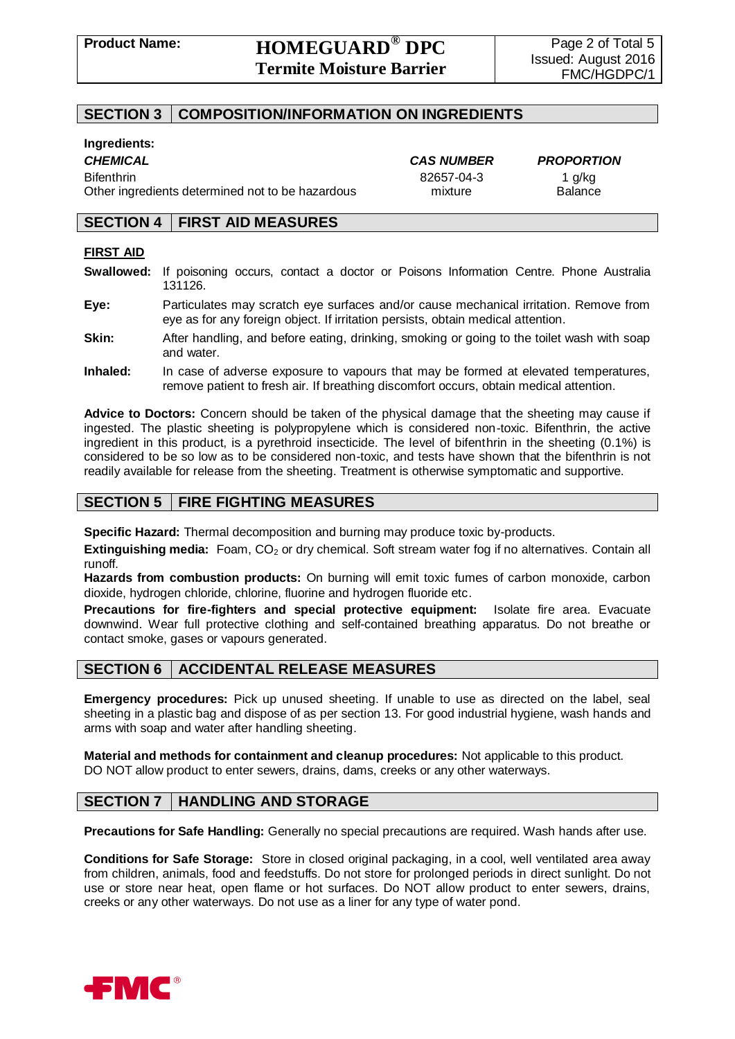# **SECTION 3 COMPOSITION/INFORMATION ON INGREDIENTS**

### **Ingredients:**

Bifenthrin 82657-04-3 1 g/kg Other ingredients determined not to be hazardous mixture Balance

*CHEMICAL CAS NUMBER PROPORTION*

# **SECTION 4 FIRST AID MEASURES**

### **FIRST AID**

- **Swallowed:** If poisoning occurs, contact a doctor or Poisons Information Centre. Phone Australia 131126.
- **Eye:** Particulates may scratch eye surfaces and/or cause mechanical irritation. Remove from eye as for any foreign object. If irritation persists, obtain medical attention.
- **Skin:** After handling, and before eating, drinking, smoking or going to the toilet wash with soap and water.
- **Inhaled:** In case of adverse exposure to vapours that may be formed at elevated temperatures, remove patient to fresh air. If breathing discomfort occurs, obtain medical attention.

**Advice to Doctors:** Concern should be taken of the physical damage that the sheeting may cause if ingested. The plastic sheeting is polypropylene which is considered non-toxic. Bifenthrin, the active ingredient in this product, is a pyrethroid insecticide. The level of bifenthrin in the sheeting (0.1%) is considered to be so low as to be considered non-toxic, and tests have shown that the bifenthrin is not readily available for release from the sheeting. Treatment is otherwise symptomatic and supportive.

# **SECTION 5 FIRE FIGHTING MEASURES**

**Specific Hazard:** Thermal decomposition and burning may produce toxic by-products.

**Extinguishing media:** Foam, CO<sub>2</sub> or dry chemical. Soft stream water fog if no alternatives. Contain all runoff.

**Hazards from combustion products:** On burning will emit toxic fumes of carbon monoxide, carbon dioxide, hydrogen chloride, chlorine, fluorine and hydrogen fluoride etc.

**Precautions for fire-fighters and special protective equipment:** Isolate fire area. Evacuate downwind. Wear full protective clothing and self-contained breathing apparatus. Do not breathe or contact smoke, gases or vapours generated.

# **SECTION 6 ACCIDENTAL RELEASE MEASURES**

**Emergency procedures:** Pick up unused sheeting. If unable to use as directed on the label, seal sheeting in a plastic bag and dispose of as per section 13. For good industrial hygiene, wash hands and arms with soap and water after handling sheeting.

**Material and methods for containment and cleanup procedures:** Not applicable to this product. DO NOT allow product to enter sewers, drains, dams, creeks or any other waterways.

# **SECTION 7 HANDLING AND STORAGE**

**Precautions for Safe Handling:** Generally no special precautions are required. Wash hands after use.

**Conditions for Safe Storage:** Store in closed original packaging, in a cool, well ventilated area away from children, animals, food and feedstuffs. Do not store for prolonged periods in direct sunlight. Do not use or store near heat, open flame or hot surfaces. Do NOT allow product to enter sewers, drains, creeks or any other waterways. Do not use as a liner for any type of water pond.

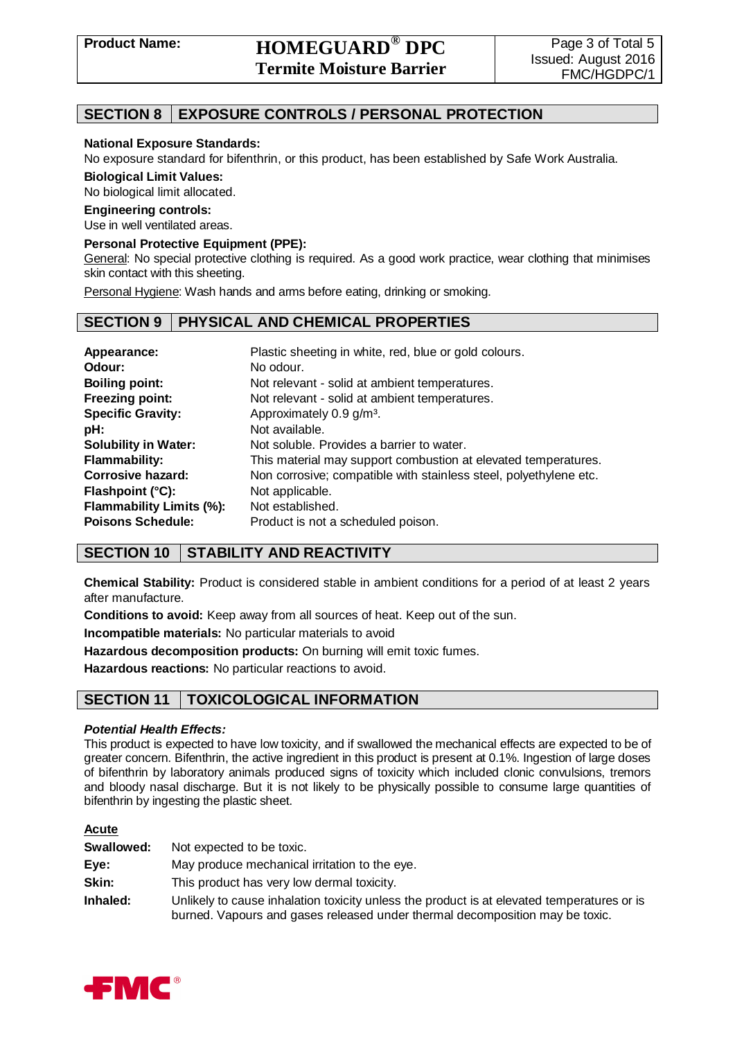# **Product Name: HOMEGUARD® DPC Termite Moisture Barrier**

# **SECTION 8 EXPOSURE CONTROLS / PERSONAL PROTECTION**

### **National Exposure Standards:**

No exposure standard for bifenthrin, or this product, has been established by Safe Work Australia.

**Biological Limit Values:**

No biological limit allocated.

### **Engineering controls:**

Use in well ventilated areas.

### **Personal Protective Equipment (PPE):**

General: No special protective clothing is required. As a good work practice, wear clothing that minimises skin contact with this sheeting.

Personal Hygiene: Wash hands and arms before eating, drinking or smoking.

# **SECTION 9 PHYSICAL AND CHEMICAL PROPERTIES**

| Appearance:<br>Odour:<br><b>Boiling point:</b> | Plastic sheeting in white, red, blue or gold colours.<br>No odour.<br>Not relevant - solid at ambient temperatures. |
|------------------------------------------------|---------------------------------------------------------------------------------------------------------------------|
| <b>Freezing point:</b>                         | Not relevant - solid at ambient temperatures.                                                                       |
| <b>Specific Gravity:</b>                       | Approximately 0.9 g/m <sup>3</sup> .                                                                                |
| pH:                                            | Not available.                                                                                                      |
| <b>Solubility in Water:</b>                    | Not soluble. Provides a barrier to water.                                                                           |
| <b>Flammability:</b>                           | This material may support combustion at elevated temperatures.                                                      |
| Corrosive hazard:                              | Non corrosive; compatible with stainless steel, polyethylene etc.                                                   |
| Flashpoint (°C):                               | Not applicable.                                                                                                     |
| <b>Flammability Limits (%):</b>                | Not established.                                                                                                    |
| <b>Poisons Schedule:</b>                       | Product is not a scheduled poison.                                                                                  |

# **SECTION 10 STABILITY AND REACTIVITY**

**Chemical Stability:** Product is considered stable in ambient conditions for a period of at least 2 years after manufacture.

**Conditions to avoid:** Keep away from all sources of heat. Keep out of the sun.

**Incompatible materials:** No particular materials to avoid

**Hazardous decomposition products:** On burning will emit toxic fumes.

**Hazardous reactions:** No particular reactions to avoid.

# **SECTION 11 TOXICOLOGICAL INFORMATION**

### *Potential Health Effects:*

This product is expected to have low toxicity, and if swallowed the mechanical effects are expected to be of greater concern. Bifenthrin, the active ingredient in this product is present at 0.1%. Ingestion of large doses of bifenthrin by laboratory animals produced signs of toxicity which included clonic convulsions, tremors and bloody nasal discharge. But it is not likely to be physically possible to consume large quantities of bifenthrin by ingesting the plastic sheet.

### **Acute**

| Swallowed: | Not expected to be toxic.                                                                                                                                                  |
|------------|----------------------------------------------------------------------------------------------------------------------------------------------------------------------------|
| Eye:       | May produce mechanical irritation to the eye.                                                                                                                              |
| Skin:      | This product has very low dermal toxicity.                                                                                                                                 |
| Inhaled:   | Unlikely to cause inhalation toxicity unless the product is at elevated temperatures or is<br>burned. Vapours and gases released under thermal decomposition may be toxic. |

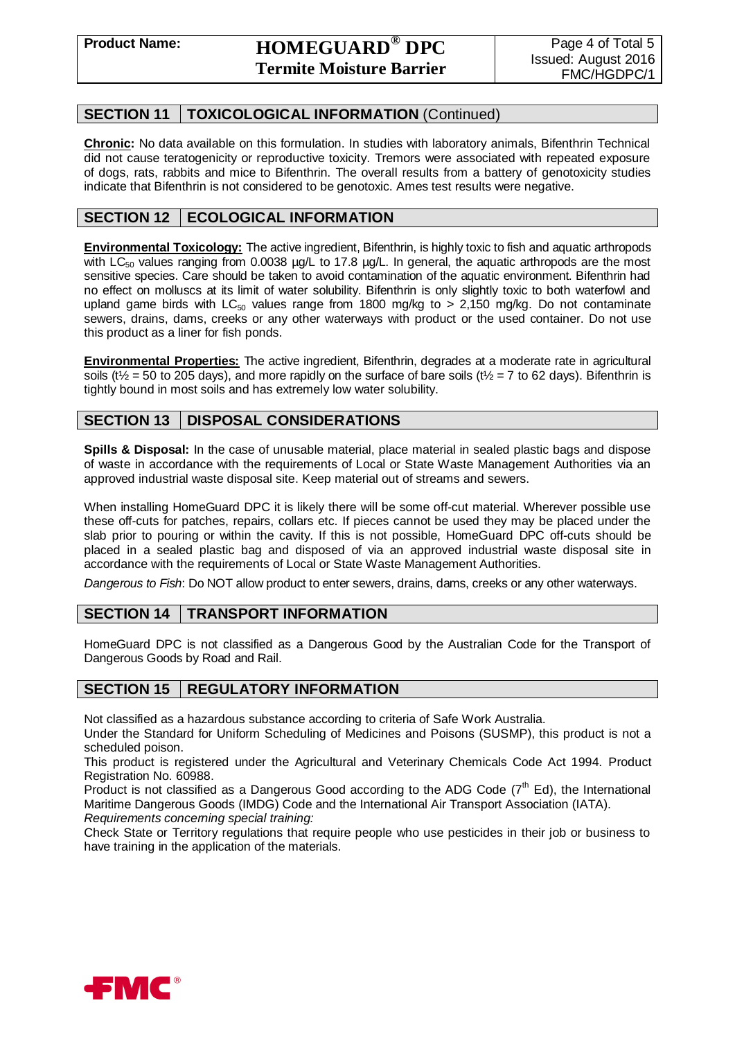# **SECTION 11 TOXICOLOGICAL INFORMATION** (Continued)

**Chronic:** No data available on this formulation. In studies with laboratory animals, Bifenthrin Technical did not cause teratogenicity or reproductive toxicity. Tremors were associated with repeated exposure of dogs, rats, rabbits and mice to Bifenthrin. The overall results from a battery of genotoxicity studies indicate that Bifenthrin is not considered to be genotoxic. Ames test results were negative.

# **SECTION 12 ECOLOGICAL INFORMATION**

**Environmental Toxicology:** The active ingredient, Bifenthrin, is highly toxic to fish and aquatic arthropods with  $LC_{50}$  values ranging from 0.0038 µg/L to 17.8 µg/L. In general, the aquatic arthropods are the most sensitive species. Care should be taken to avoid contamination of the aquatic environment. Bifenthrin had no effect on molluscs at its limit of water solubility. Bifenthrin is only slightly toxic to both waterfowl and upland game birds with LC<sub>50</sub> values range from 1800 mg/kg to  $> 2,150$  mg/kg. Do not contaminate sewers, drains, dams, creeks or any other waterways with product or the used container. Do not use this product as a liner for fish ponds.

**Environmental Properties:** The active ingredient, Bifenthrin, degrades at a moderate rate in agricultural soils ( $t\frac{1}{2}$  = 50 to 205 days), and more rapidly on the surface of bare soils ( $t\frac{1}{2}$  = 7 to 62 days). Bifenthrin is tightly bound in most soils and has extremely low water solubility.

# **SECTION 13 DISPOSAL CONSIDERATIONS**

**Spills & Disposal:** In the case of unusable material, place material in sealed plastic bags and dispose of waste in accordance with the requirements of Local or State Waste Management Authorities via an approved industrial waste disposal site. Keep material out of streams and sewers.

When installing HomeGuard DPC it is likely there will be some off-cut material. Wherever possible use these off-cuts for patches, repairs, collars etc. If pieces cannot be used they may be placed under the slab prior to pouring or within the cavity. If this is not possible, HomeGuard DPC off-cuts should be placed in a sealed plastic bag and disposed of via an approved industrial waste disposal site in accordance with the requirements of Local or State Waste Management Authorities.

*Dangerous to Fish*: Do NOT allow product to enter sewers, drains, dams, creeks or any other waterways.

# **SECTION 14 TRANSPORT INFORMATION**

HomeGuard DPC is not classified as a Dangerous Good by the Australian Code for the Transport of Dangerous Goods by Road and Rail.

# **SECTION 15 REGULATORY INFORMATION**

Not classified as a hazardous substance according to criteria of Safe Work Australia.

Under the Standard for Uniform Scheduling of Medicines and Poisons (SUSMP), this product is not a scheduled poison.

This product is registered under the Agricultural and Veterinary Chemicals Code Act 1994. Product Registration No. 60988.

Product is not classified as a Dangerous Good according to the ADG Code  $(7<sup>th</sup>$  Ed), the International Maritime Dangerous Goods (IMDG) Code and the International Air Transport Association (IATA). *Requirements concerning special training:*

Check State or Territory regulations that require people who use pesticides in their job or business to have training in the application of the materials.